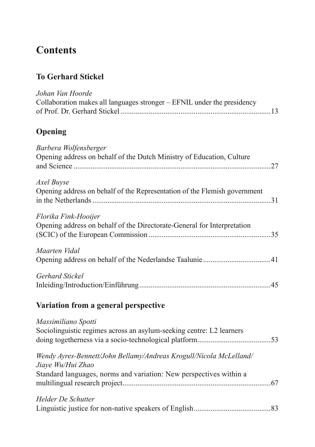# **Contents**

### **To Gerhard Stickel**

| Johan Van Hoorde<br>Collaboration makes all languages stronger - EFNIL under the presidency                                                                   |  |
|---------------------------------------------------------------------------------------------------------------------------------------------------------------|--|
| Opening                                                                                                                                                       |  |
| Barbera Wolfensberger<br>Opening address on behalf of the Dutch Ministry of Education, Culture                                                                |  |
| Axel Buyse<br>Opening address on behalf of the Representation of the Flemish government                                                                       |  |
| Florika Fink-Hooijer<br>Opening address on behalf of the Directorate-General for Interpretation                                                               |  |
| Maarten Vidal                                                                                                                                                 |  |
| Gerhard Stickel                                                                                                                                               |  |
| Variation from a general perspective                                                                                                                          |  |
| Massimiliano Spotti<br>Sociolinguistic regimes across an asylum-seeking centre: L2 learners                                                                   |  |
| Wendy Ayres-Bennett/John Bellamy/Andreas Krogull/Nicola McLelland/<br>Jiaye Wu/Hui Zhao<br>Standard languages, norms and variation: New perspectives within a |  |
| Helder De Schutter                                                                                                                                            |  |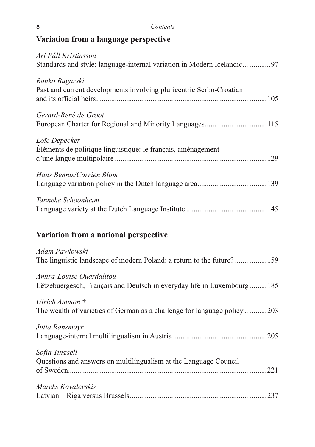| 8 | Contents |
|---|----------|
|---|----------|

## **Variation from a language perspective**

| Ari Páll Kristinsson<br>Standards and style: language-internal variation in Modern Icelandic97       |
|------------------------------------------------------------------------------------------------------|
| Ranko Bugarski<br>Past and current developments involving pluricentric Serbo-Croatian                |
| Gerard-René de Groot                                                                                 |
| Loïc Depecker<br>Éléments de politique linguistique: le français, aménagement                        |
| Hans Bennis/Corrien Blom                                                                             |
| Tanneke Schoonheim                                                                                   |
| Variation from a national perspective                                                                |
| Adam Pawlowski<br>The linguistic landscape of modern Poland: a return to the future?159              |
| Amira-Louise Ouardalitou<br>Lëtzebuergesch, Français and Deutsch in everyday life in Luxembourg  185 |
| Ulrich Ammon †<br>The wealth of varieties of German as a challenge for language policy203            |
| Jutta Ransmayr                                                                                       |
| Sofia Tingsell<br>Questions and answers on multilingualism at the Language Council                   |
| Mareks Kovalevskis                                                                                   |